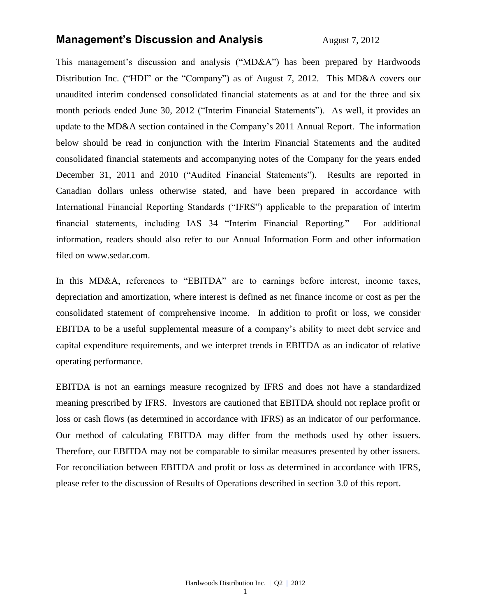## **Management's Discussion and Analysis** August 7, 2012

This management's discussion and analysis ("MD&A") has been prepared by Hardwoods Distribution Inc. ("HDI" or the "Company") as of August 7, 2012. This MD&A covers our unaudited interim condensed consolidated financial statements as at and for the three and six month periods ended June 30, 2012 ("Interim Financial Statements"). As well, it provides an update to the MD&A section contained in the Company's 2011 Annual Report. The information below should be read in conjunction with the Interim Financial Statements and the audited consolidated financial statements and accompanying notes of the Company for the years ended December 31, 2011 and 2010 ("Audited Financial Statements"). Results are reported in Canadian dollars unless otherwise stated, and have been prepared in accordance with International Financial Reporting Standards ("IFRS") applicable to the preparation of interim financial statements, including IAS 34 "Interim Financial Reporting." For additional information, readers should also refer to our Annual Information Form and other information filed on [www.sedar.com.](http://www.sedar.com/)

In this MD&A, references to "EBITDA" are to earnings before interest, income taxes, depreciation and amortization, where interest is defined as net finance income or cost as per the consolidated statement of comprehensive income. In addition to profit or loss, we consider EBITDA to be a useful supplemental measure of a company's ability to meet debt service and capital expenditure requirements, and we interpret trends in EBITDA as an indicator of relative operating performance.

EBITDA is not an earnings measure recognized by IFRS and does not have a standardized meaning prescribed by IFRS. Investors are cautioned that EBITDA should not replace profit or loss or cash flows (as determined in accordance with IFRS) as an indicator of our performance. Our method of calculating EBITDA may differ from the methods used by other issuers. Therefore, our EBITDA may not be comparable to similar measures presented by other issuers. For reconciliation between EBITDA and profit or loss as determined in accordance with IFRS, please refer to the discussion of Results of Operations described in section 3.0 of this report.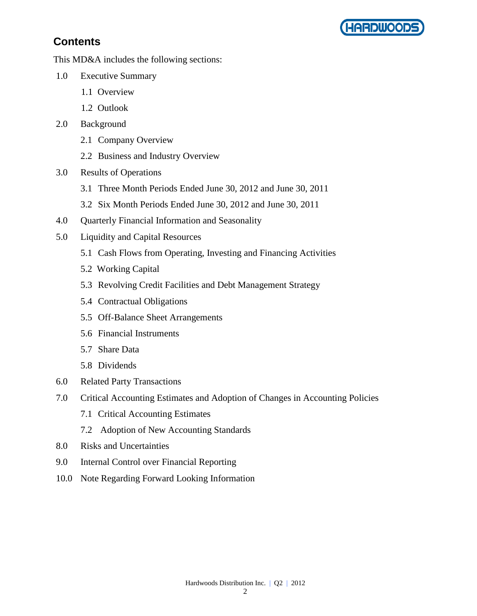

# **Contents**

This MD&A includes the following sections:

- 1.0 Executive Summary
	- 1.1 Overview
	- 1.2 Outlook
- 2.0 Background
	- 2.1 Company Overview
	- 2.2 Business and Industry Overview
- 3.0 Results of Operations
	- 3.1 Three Month Periods Ended June 30, 2012 and June 30, 2011
	- 3.2 Six Month Periods Ended June 30, 2012 and June 30, 2011
- 4.0 Quarterly Financial Information and Seasonality
- 5.0 Liquidity and Capital Resources
	- 5.1 Cash Flows from Operating, Investing and Financing Activities
	- 5.2 Working Capital
	- 5.3 Revolving Credit Facilities and Debt Management Strategy
	- 5.4 Contractual Obligations
	- 5.5 Off-Balance Sheet Arrangements
	- 5.6 Financial Instruments
	- 5.7 Share Data
	- 5.8 Dividends
- 6.0 Related Party Transactions
- 7.0 Critical Accounting Estimates and Adoption of Changes in Accounting Policies
	- 7.1 Critical Accounting Estimates
	- 7.2 Adoption of New Accounting Standards
- 8.0 Risks and Uncertainties
- 9.0 Internal Control over Financial Reporting
- 10.0 Note Regarding Forward Looking Information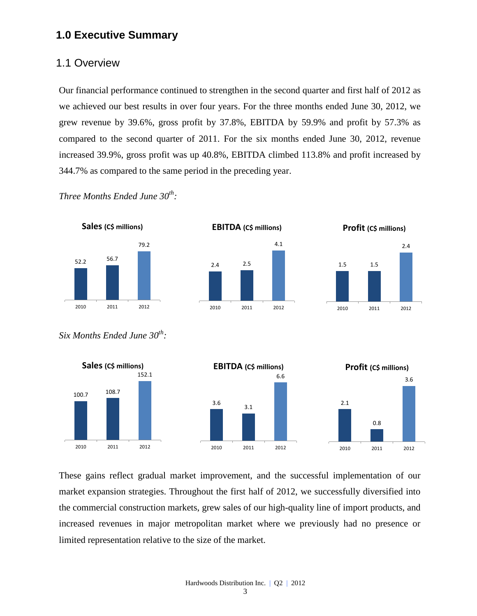## **1.0 Executive Summary**

### 1.1 Overview

Our financial performance continued to strengthen in the second quarter and first half of 2012 as we achieved our best results in over four years. For the three months ended June 30, 2012, we grew revenue by 39.6%, gross profit by 37.8%, EBITDA by 59.9% and profit by 57.3% as compared to the second quarter of 2011. For the six months ended June 30, 2012, revenue increased 39.9%, gross profit was up 40.8%, EBITDA climbed 113.8% and profit increased by 344.7% as compared to the same period in the preceding year.

*Three Months Ended June 30th :*



**EBITDA (C\$ millions)**







*Six Months Ended June 30th :*



These gains reflect gradual market improvement, and the successful implementation of our market expansion strategies. Throughout the first half of 2012, we successfully diversified into the commercial construction markets, grew sales of our high-quality line of import products, and increased revenues in major metropolitan market where we previously had no presence or limited representation relative to the size of the market.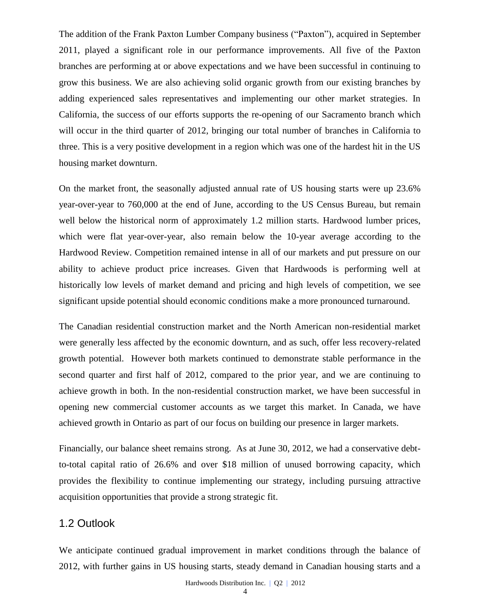The addition of the Frank Paxton Lumber Company business ("Paxton"), acquired in September 2011, played a significant role in our performance improvements. All five of the Paxton branches are performing at or above expectations and we have been successful in continuing to grow this business. We are also achieving solid organic growth from our existing branches by adding experienced sales representatives and implementing our other market strategies. In California, the success of our efforts supports the re-opening of our Sacramento branch which will occur in the third quarter of 2012, bringing our total number of branches in California to three. This is a very positive development in a region which was one of the hardest hit in the US housing market downturn.

On the market front, the seasonally adjusted annual rate of US housing starts were up 23.6% year-over-year to 760,000 at the end of June, according to the US Census Bureau, but remain well below the historical norm of approximately 1.2 million starts. Hardwood lumber prices, which were flat year-over-year, also remain below the 10-year average according to the Hardwood Review. Competition remained intense in all of our markets and put pressure on our ability to achieve product price increases. Given that Hardwoods is performing well at historically low levels of market demand and pricing and high levels of competition, we see significant upside potential should economic conditions make a more pronounced turnaround.

The Canadian residential construction market and the North American non-residential market were generally less affected by the economic downturn, and as such, offer less recovery-related growth potential. However both markets continued to demonstrate stable performance in the second quarter and first half of 2012, compared to the prior year, and we are continuing to achieve growth in both. In the non-residential construction market, we have been successful in opening new commercial customer accounts as we target this market. In Canada, we have achieved growth in Ontario as part of our focus on building our presence in larger markets.

Financially, our balance sheet remains strong. As at June 30, 2012, we had a conservative debtto-total capital ratio of 26.6% and over \$18 million of unused borrowing capacity, which provides the flexibility to continue implementing our strategy, including pursuing attractive acquisition opportunities that provide a strong strategic fit.

## 1.2 Outlook

We anticipate continued gradual improvement in market conditions through the balance of 2012, with further gains in US housing starts, steady demand in Canadian housing starts and a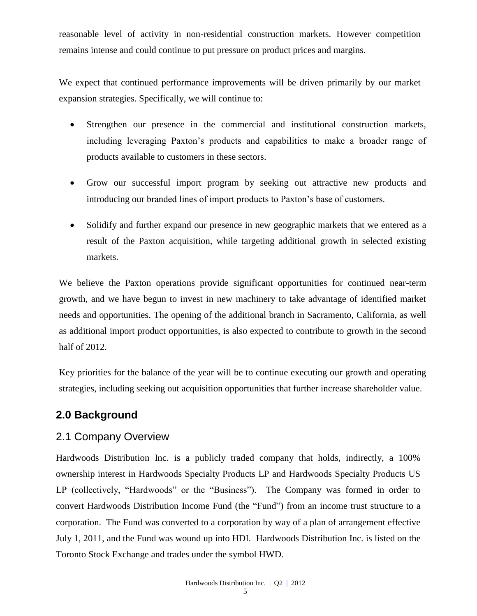reasonable level of activity in non-residential construction markets. However competition remains intense and could continue to put pressure on product prices and margins.

We expect that continued performance improvements will be driven primarily by our market expansion strategies. Specifically, we will continue to:

- Strengthen our presence in the commercial and institutional construction markets, including leveraging Paxton's products and capabilities to make a broader range of products available to customers in these sectors.
- Grow our successful import program by seeking out attractive new products and introducing our branded lines of import products to Paxton's base of customers.
- Solidify and further expand our presence in new geographic markets that we entered as a result of the Paxton acquisition, while targeting additional growth in selected existing markets.

We believe the Paxton operations provide significant opportunities for continued near-term growth, and we have begun to invest in new machinery to take advantage of identified market needs and opportunities. The opening of the additional branch in Sacramento, California, as well as additional import product opportunities, is also expected to contribute to growth in the second half of 2012.

Key priorities for the balance of the year will be to continue executing our growth and operating strategies, including seeking out acquisition opportunities that further increase shareholder value.

# **2.0 Background**

## 2.1 Company Overview

Hardwoods Distribution Inc. is a publicly traded company that holds, indirectly, a 100% ownership interest in Hardwoods Specialty Products LP and Hardwoods Specialty Products US LP (collectively, "Hardwoods" or the "Business"). The Company was formed in order to convert Hardwoods Distribution Income Fund (the "Fund") from an income trust structure to a corporation. The Fund was converted to a corporation by way of a plan of arrangement effective July 1, 2011, and the Fund was wound up into HDI. Hardwoods Distribution Inc. is listed on the [Toronto Stock Exchange and trades under the symbol](http://tmx.quotemedia.com/quote.php?qm_symbol=TPK&locale=EN) HWD.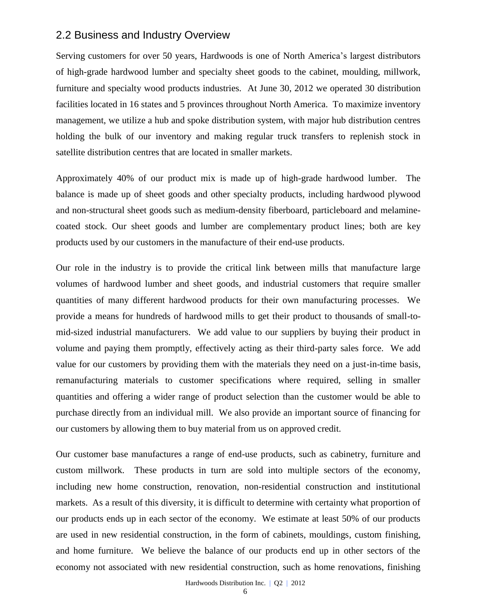### 2.2 Business and Industry Overview

Serving customers for over 50 years, Hardwoods is one of North America's largest distributors of high-grade hardwood lumber and specialty sheet goods to the cabinet, moulding, millwork, furniture and specialty wood products industries. At June 30, 2012 we operated 30 distribution facilities located in 16 states and 5 provinces throughout North America. To maximize inventory management, we utilize a hub and spoke distribution system, with major hub distribution centres holding the bulk of our inventory and making regular truck transfers to replenish stock in satellite distribution centres that are located in smaller markets.

Approximately 40% of our product mix is made up of high-grade hardwood lumber. The balance is made up of sheet goods and other specialty products, including hardwood plywood and non-structural sheet goods such as medium-density fiberboard, particleboard and melaminecoated stock. Our sheet goods and lumber are complementary product lines; both are key products used by our customers in the manufacture of their end-use products.

Our role in the industry is to provide the critical link between mills that manufacture large volumes of hardwood lumber and sheet goods, and industrial customers that require smaller quantities of many different hardwood products for their own manufacturing processes. We provide a means for hundreds of hardwood mills to get their product to thousands of small-tomid-sized industrial manufacturers. We add value to our suppliers by buying their product in volume and paying them promptly, effectively acting as their third-party sales force. We add value for our customers by providing them with the materials they need on a just-in-time basis, remanufacturing materials to customer specifications where required, selling in smaller quantities and offering a wider range of product selection than the customer would be able to purchase directly from an individual mill. We also provide an important source of financing for our customers by allowing them to buy material from us on approved credit.

Our customer base manufactures a range of end-use products, such as cabinetry, furniture and custom millwork. These products in turn are sold into multiple sectors of the economy, including new home construction, renovation, non-residential construction and institutional markets. As a result of this diversity, it is difficult to determine with certainty what proportion of our products ends up in each sector of the economy. We estimate at least 50% of our products are used in new residential construction, in the form of cabinets, mouldings, custom finishing, and home furniture. We believe the balance of our products end up in other sectors of the economy not associated with new residential construction, such as home renovations, finishing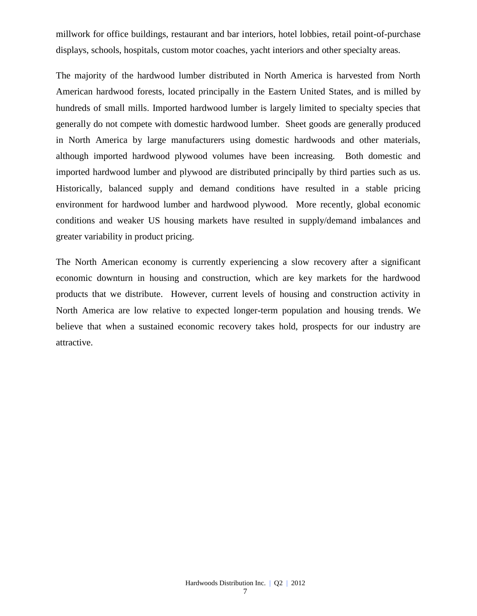millwork for office buildings, restaurant and bar interiors, hotel lobbies, retail point-of-purchase displays, schools, hospitals, custom motor coaches, yacht interiors and other specialty areas.

The majority of the hardwood lumber distributed in North America is harvested from North American hardwood forests, located principally in the Eastern United States, and is milled by hundreds of small mills. Imported hardwood lumber is largely limited to specialty species that generally do not compete with domestic hardwood lumber. Sheet goods are generally produced in North America by large manufacturers using domestic hardwoods and other materials, although imported hardwood plywood volumes have been increasing. Both domestic and imported hardwood lumber and plywood are distributed principally by third parties such as us. Historically, balanced supply and demand conditions have resulted in a stable pricing environment for hardwood lumber and hardwood plywood. More recently, global economic conditions and weaker US housing markets have resulted in supply/demand imbalances and greater variability in product pricing.

The North American economy is currently experiencing a slow recovery after a significant economic downturn in housing and construction, which are key markets for the hardwood products that we distribute. However, current levels of housing and construction activity in North America are low relative to expected longer-term population and housing trends. We believe that when a sustained economic recovery takes hold, prospects for our industry are attractive.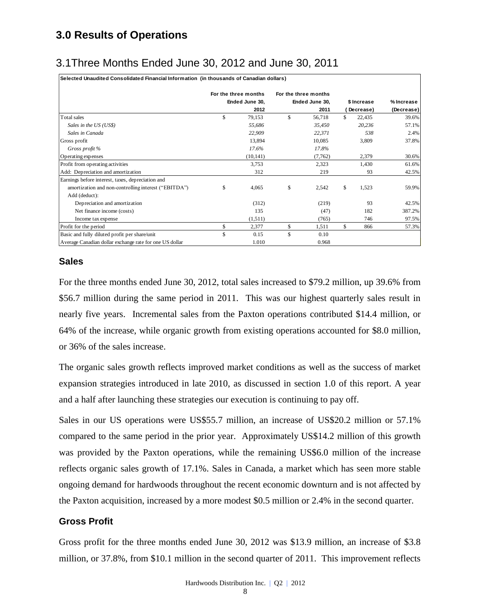# **3.0 Results of Operations**

# 3.1Three Months Ended June 30, 2012 and June 30, 2011

|                                                                                                  | For the three months | For the three months |                            |                     |
|--------------------------------------------------------------------------------------------------|----------------------|----------------------|----------------------------|---------------------|
|                                                                                                  | Ended June 30,       | Ended June 30,       | \$ Increase                | % Increase          |
| Total sales                                                                                      | \$<br>2012<br>79,153 | \$<br>2011<br>56,718 | (Decrease)<br>\$<br>22,435 | (Decrease)<br>39.6% |
| Sales in the US (US\$)                                                                           | 55,686               | 35,450               | 20,236                     | 57.1%               |
| Sales in Canada                                                                                  | 22,909               | 22,371               | 538                        | 2.4%                |
| Gross profit                                                                                     | 13,894               | 10,085               | 3,809                      | 37.8%               |
| Gross profit %                                                                                   | 17.6%                | 17.8%                |                            |                     |
| Operating expenses                                                                               | (10, 141)            | (7, 762)             | 2,379                      | 30.6%               |
| Profit from operating activities                                                                 | 3,753                | 2,323                | 1,430                      | 61.6%               |
| Add: Depreciation and amortization                                                               | 312                  | 219                  | 93                         | 42.5%               |
| Earnings before interest, taxes, depreciation and                                                |                      |                      |                            |                     |
| amortization and non-controlling interest ("EBITDA")<br>Add (deduct):                            | \$<br>4,065          | \$<br>2,542          | \$<br>1,523                | 59.9%               |
| Depreciation and amortization                                                                    | (312)                | (219)                | 93                         | 42.5%               |
| Net finance income (costs)                                                                       | 135                  | (47)                 | 182                        | 387.2%              |
| Income tax expense                                                                               | (1,511)              | (765)                | 746                        | 97.5%               |
| Profit for the period                                                                            | \$<br>2,377          | \$<br>1,511          | \$<br>866                  | 57.3%               |
| Basic and fully diluted profit per share/unit                                                    | \$<br>0.15           | \$<br>0.10           |                            |                     |
| Average Canadian dollar exchange rate for one US dollar                                          | 1.010                | 0.968                |                            |                     |
| \$56.7 million during the same period in 2011. This was our highest quarterly sales result in    |                      |                      |                            |                     |
| nearly five years. Incremental sales from the Paxton operations contributed \$14.4 million, or   |                      |                      |                            |                     |
| 64% of the increase, while organic growth from existing operations accounted for \$8.0 million,  |                      |                      |                            |                     |
|                                                                                                  |                      |                      |                            |                     |
| or 36% of the sales increase.                                                                    |                      |                      |                            |                     |
| The organic sales growth reflects improved market conditions as well as the success of market    |                      |                      |                            |                     |
| expansion strategies introduced in late 2010, as discussed in section 1.0 of this report. A year |                      |                      |                            |                     |
|                                                                                                  |                      |                      |                            |                     |
| and a half after launching these strategies our execution is continuing to pay off.              |                      |                      |                            |                     |
| Sales in our US operations were US\$55.7 million, an increase of US\$20.2 million or 57.1%       |                      |                      |                            |                     |
| compared to the same period in the prior year. Approximately US\$14.2 million of this growth     |                      |                      |                            |                     |
| was provided by the Paxton operations, while the remaining US\$6.0 million of the increase       |                      |                      |                            |                     |
| reflects organic sales growth of 17.1%. Sales in Canada, a market which has seen more stable     |                      |                      |                            |                     |
| ongoing demand for hardwoods throughout the recent economic downturn and is not affected by      |                      |                      |                            |                     |
| the Paxton acquisition, increased by a more modest \$0.5 million or 2.4% in the second quarter.  |                      |                      |                            |                     |
| <b>Gross Profit</b>                                                                              |                      |                      |                            |                     |
|                                                                                                  |                      |                      |                            |                     |
|                                                                                                  |                      |                      |                            |                     |
| Gross profit for the three months ended June 30, 2012 was \$13.9 million, an increase of \$3.8   |                      |                      |                            |                     |

#### **Sales**

### **Gross Profit**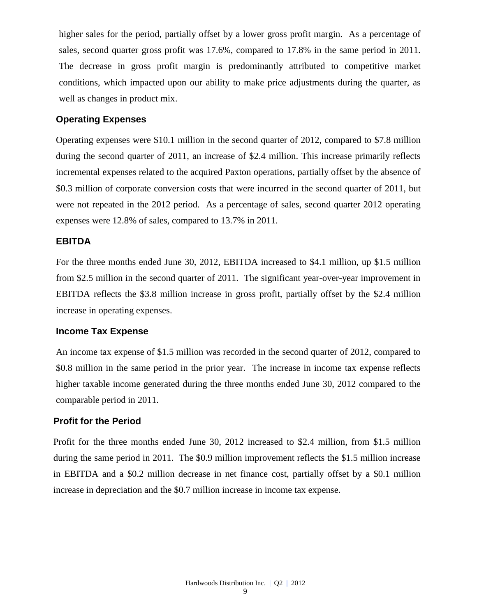higher sales for the period, partially offset by a lower gross profit margin. As a percentage of sales, second quarter gross profit was 17.6%, compared to 17.8% in the same period in 2011. The decrease in gross profit margin is predominantly attributed to competitive market conditions, which impacted upon our ability to make price adjustments during the quarter, as well as changes in product mix.

#### **Operating Expenses**

Operating expenses were \$10.1 million in the second quarter of 2012, compared to \$7.8 million during the second quarter of 2011, an increase of \$2.4 million. This increase primarily reflects incremental expenses related to the acquired Paxton operations, partially offset by the absence of \$0.3 million of corporate conversion costs that were incurred in the second quarter of 2011, but were not repeated in the 2012 period. As a percentage of sales, second quarter 2012 operating expenses were 12.8% of sales, compared to 13.7% in 2011.

### **EBITDA**

For the three months ended June 30, 2012, EBITDA increased to \$4.1 million, up \$1.5 million from \$2.5 million in the second quarter of 2011. The significant year-over-year improvement in EBITDA reflects the \$3.8 million increase in gross profit, partially offset by the \$2.4 million increase in operating expenses.

### **Income Tax Expense**

An income tax expense of \$1.5 million was recorded in the second quarter of 2012, compared to \$0.8 million in the same period in the prior year. The increase in income tax expense reflects higher taxable income generated during the three months ended June 30, 2012 compared to the comparable period in 2011.

#### **Profit for the Period**

Profit for the three months ended June 30, 2012 increased to \$2.4 million, from \$1.5 million during the same period in 2011. The \$0.9 million improvement reflects the \$1.5 million increase in EBITDA and a \$0.2 million decrease in net finance cost, partially offset by a \$0.1 million increase in depreciation and the \$0.7 million increase in income tax expense.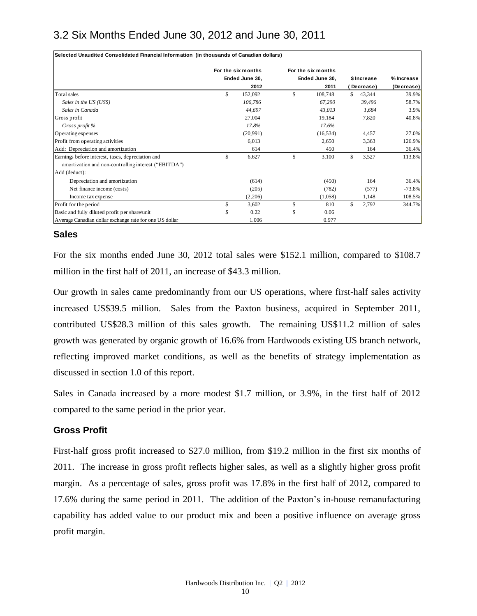# 3.2 Six Months Ended June 30, 2012 and June 30, 2011

| Selected Unaudited Consolidated Financial Information (in thousands of Canadian dollars) |                    |                    |              |             |            |
|------------------------------------------------------------------------------------------|--------------------|--------------------|--------------|-------------|------------|
|                                                                                          | For the six months | For the six months |              |             |            |
|                                                                                          | Ended June 30,     | Ended June 30,     |              | \$ Increase | % Increase |
|                                                                                          | 2012               | 2011               |              | Decrease)   | (Decrease) |
| Total sales                                                                              | \$<br>152,092      | \$<br>108,748      | \$           | 43,344      | 39.9%      |
| Sales in the US (US\$)                                                                   | 106,786            | 67,290             |              | 39,496      | 58.7%      |
| Sales in Canada                                                                          | 44,697             | 43,013             |              | 1,684       | 3.9%       |
| Gross profit                                                                             | 27,004             | 19,184             |              | 7,820       | 40.8%      |
| Gross profit %                                                                           | 17.8%              | 17.6%              |              |             |            |
| Operating expenses                                                                       | (20, 991)          | (16, 534)          |              | 4,457       | 27.0%      |
| Profit from operating activities                                                         | 6,013              | 2,650              |              | 3,363       | 126.9%     |
| Add: Depreciation and amortization                                                       | 614                | 450                |              | 164         | 36.4%      |
| Earnings before interest, taxes, depreciation and                                        | \$<br>6,627        | \$<br>3,100        | $\mathbb{S}$ | 3,527       | 113.8%     |
| amortization and non-controlling interest ("EBITDA")                                     |                    |                    |              |             |            |
| Add (deduct):                                                                            |                    |                    |              |             |            |
| Depreciation and amortization                                                            | (614)              | (450)              |              | 164         | 36.4%      |
| Net finance income (costs)                                                               | (205)              | (782)              |              | (577)       | $-73.8%$   |
| Income tax expense                                                                       | (2,206)            | (1,058)            |              | 1,148       | 108.5%     |
| Profit for the period                                                                    | \$<br>3,602        | \$<br>810          | \$.          | 2,792       | 344.7%     |
| Basic and fully diluted profit per share/unit                                            | \$<br>0.22         | \$<br>0.06         |              |             |            |
| Average Canadian dollar exchange rate for one US dollar                                  | 1.006              | 0.977              |              |             |            |

### **Sales**

For the six months ended June 30, 2012 total sales were \$152.1 million, compared to \$108.7 million in the first half of 2011, an increase of \$43.3 million.

Our growth in sales came predominantly from our US operations, where first-half sales activity increased US\$39.5 million. Sales from the Paxton business, acquired in September 2011, contributed US\$28.3 million of this sales growth. The remaining US\$11.2 million of sales growth was generated by organic growth of 16.6% from Hardwoods existing US branch network, reflecting improved market conditions, as well as the benefits of strategy implementation as discussed in section 1.0 of this report.

Sales in Canada increased by a more modest \$1.7 million, or 3.9%, in the first half of 2012 compared to the same period in the prior year.

### **Gross Profit**

First-half gross profit increased to \$27.0 million, from \$19.2 million in the first six months of 2011. The increase in gross profit reflects higher sales, as well as a slightly higher gross profit margin. As a percentage of sales, gross profit was 17.8% in the first half of 2012, compared to 17.6% during the same period in 2011. The addition of the Paxton's in-house remanufacturing capability has added value to our product mix and been a positive influence on average gross profit margin.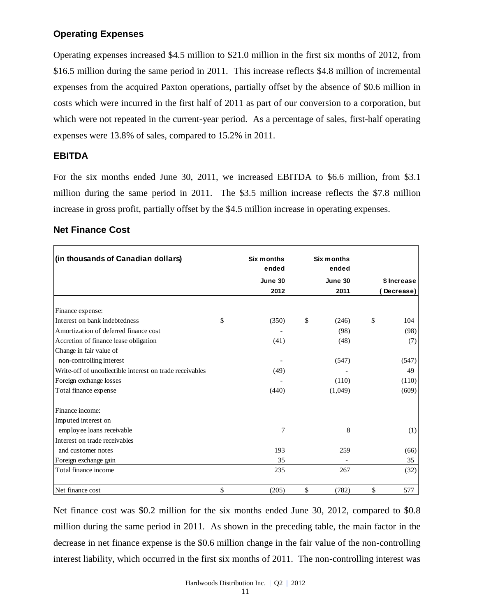### **Operating Expenses**

Operating expenses increased \$4.5 million to \$21.0 million in the first six months of 2012, from \$16.5 million during the same period in 2011. This increase reflects \$4.8 million of incremental expenses from the acquired Paxton operations, partially offset by the absence of \$0.6 million in costs which were incurred in the first half of 2011 as part of our conversion to a corporation, but which were not repeated in the current-year period. As a percentage of sales, first-half operating expenses were 13.8% of sales, compared to 15.2% in 2011.

### **EBITDA**

For the six months ended June 30, 2011, we increased EBITDA to \$6.6 million, from \$3.1 million during the same period in 2011. The \$3.5 million increase reflects the \$7.8 million increase in gross profit, partially offset by the \$4.5 million increase in operating expenses.

| Six months<br>Six months<br>ended<br>ended |                   | (in thousands of Canadian dollars)                       |
|--------------------------------------------|-------------------|----------------------------------------------------------|
| June 30<br>June 30<br>\$ Increase          |                   |                                                          |
| 2012<br>2011<br>Decrease)                  |                   |                                                          |
|                                            |                   | Finance expense:                                         |
| \$<br>\$<br>(350)<br>\$<br>104<br>(246)    |                   | Interest on bank indebtedness                            |
| (98)<br>(98)                               |                   | Amortization of deferred finance cost                    |
| (41)<br>(48)<br>(7)                        |                   | Accretion of finance lease obligation                    |
|                                            |                   | Change in fair value of                                  |
| (547)<br>(547)                             |                   | non-controlling interest                                 |
| (49)<br>49                                 |                   | Write-off of uncollectible interest on trade receivables |
| (110)<br>(110)                             |                   | Foreign exchange losses                                  |
| (440)<br>(1,049)<br>(609)                  |                   | Total finance expense                                    |
|                                            |                   | Finance income:                                          |
|                                            |                   | Imputed interest on                                      |
| 7<br>8<br>(1)                              |                   | employee loans receivable                                |
|                                            |                   | Interest on trade receivables                            |
| 193<br>259<br>(66)                         |                   | and customer notes                                       |
| 35<br>35                                   |                   | Foreign exchange gain                                    |
| 235<br>267<br>(32)                         |                   | Total finance income                                     |
|                                            | \$<br>\$<br>(205) | Net finance cost                                         |

## **Net Finance Cost**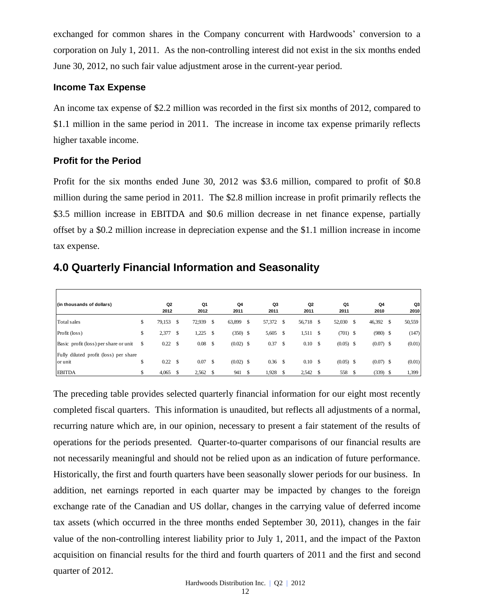exchanged for common shares in the Company concurrent with Hardwoods' conversion to a corporation on July 1, 2011. As the non-controlling interest did not exist in the six months ended June 30, 2012, no such fair value adjustment arose in the current-year period.

### **Income Tax Expense**

An income tax expense of \$2.2 million was recorded in the first six months of 2012, compared to \$1.1 million in the same period in 2011. The increase in income tax expense primarily reflects higher taxable income.

### **Profit for the Period**

Profit for the six months ended June 30, 2012 was \$3.6 million, compared to profit of \$0.8 million during the same period in 2011. The \$2.8 million increase in profit primarily reflects the \$3.5 million increase in EBITDA and \$0.6 million decrease in net finance expense, partially offset by a \$0.2 million increase in depreciation expense and the \$1.1 million increase in income tax expense.

# **4.0 Quarterly Financial Information and Seasonality**

| (in thousands of dollars)                        |    | Q <sub>2</sub><br>2012 |    | Q1<br>2012 |               | Q4<br>2011  |     | Q3<br>2011 |      | Q2<br>2011  | Q1<br>2011  |    | Q4<br>2010  |               | Q3<br>2010 |
|--------------------------------------------------|----|------------------------|----|------------|---------------|-------------|-----|------------|------|-------------|-------------|----|-------------|---------------|------------|
| Total sales                                      | \$ | 79,153                 | S  | 72,939     | <sup>\$</sup> | 63,899      | \$. | 57,372 \$  |      | 56,718      | 52,030      | -S | 46,392      | <sup>\$</sup> | 50,559     |
| Profit (loss)                                    | \$ | 2,377                  | S  | 1,225      | <sup>\$</sup> | $(350)$ \$  |     | 5,605      | -S   | 1,511       | $(701)$ \$  |    | $(980)$ \$  |               | (147)      |
| Basic profit (loss) per share or unit            | S  | 0.22                   | \$ | 0.08       | \$            | $(0.02)$ \$ |     | 0.37       | - \$ | $0.10\,$ \$ | $(0.05)$ \$ |    | $(0.07)$ \$ |               | (0.01)     |
| Fully diluted profit (loss) per share<br>or unit | \$ | 0.22                   | \$ | 0.07       | $\mathbf{s}$  | $(0.02)$ \$ |     | 0.36       |      | $0.10\,$ \$ | $(0.05)$ \$ |    | $(0.07)$ \$ |               | (0.01)     |
| <b>EBITDA</b>                                    |    | 4,065                  |    | 2,562      |               | 941         |     | 1,928      |      | 2,542       | 558         |    | $(339)$ \$  |               | 1,399      |

The preceding table provides selected quarterly financial information for our eight most recently completed fiscal quarters. This information is unaudited, but reflects all adjustments of a normal, recurring nature which are, in our opinion, necessary to present a fair statement of the results of operations for the periods presented. Quarter-to-quarter comparisons of our financial results are not necessarily meaningful and should not be relied upon as an indication of future performance. Historically, the first and fourth quarters have been seasonally slower periods for our business. In addition, net earnings reported in each quarter may be impacted by changes to the foreign exchange rate of the Canadian and US dollar, changes in the carrying value of deferred income tax assets (which occurred in the three months ended September 30, 2011), changes in the fair value of the non-controlling interest liability prior to July 1, 2011, and the impact of the Paxton acquisition on financial results for the third and fourth quarters of 2011 and the first and second quarter of 2012.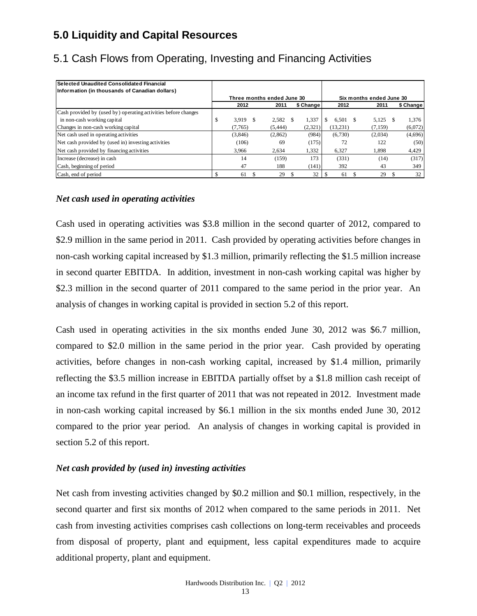# **5.0 Liquidity and Capital Resources**

| l Selected Unaudited Consolidated Financial<br>Information (in thousands of Canadian dollars) |   |         |                            |           |           |                          |           |
|-----------------------------------------------------------------------------------------------|---|---------|----------------------------|-----------|-----------|--------------------------|-----------|
|                                                                                               |   |         | Three months ended June 30 |           |           | Six months ended June 30 |           |
|                                                                                               |   | 2012    | 2011                       | \$ Change | 2012      | 2011                     | \$ Change |
| Cash provided by (used by) operating activities before changes                                |   |         |                            |           |           |                          |           |
| in non-cash working capital                                                                   | D | 3.919   | 2.582                      | 1,337     | 6.501     | 5,125                    | 1,376     |
| Changes in non-cash working capital                                                           |   | (7.765) | (5.444)                    | (2,321)   | (13, 231) | (7,159)                  | (6,072)   |
| Net cash used in operating activities                                                         |   | (3,846) | (2,862)                    | (984)     | (6,730)   | (2,034)                  | (4,696)   |
| Net cash provided by (used in) investing activities                                           |   | (106)   | 69                         | (175)     | 72        | 122                      | (50)      |
| Net cash provided by financing activities                                                     |   | 3.966   | 2.634                      | 1,332     | 6.327     | 1.898                    | 4,429     |
| Increase (decrease) in cash                                                                   |   | 14      | (159)                      | 173       | (331)     | (14)                     | (317)     |
| Cash, beginning of period                                                                     |   | 47      | 188                        | (141)     | 392       | 43                       | 349       |
| Cash, end of period                                                                           |   | 61      | 29                         | 32        | 61        | 29                       | 32        |

# 5.1 Cash Flows from Operating, Investing and Financing Activities

### *Net cash used in operating activities*

Cash used in operating activities was \$3.8 million in the second quarter of 2012, compared to \$2.9 million in the same period in 2011. Cash provided by operating activities before changes in non-cash working capital increased by \$1.3 million, primarily reflecting the \$1.5 million increase in second quarter EBITDA. In addition, investment in non-cash working capital was higher by \$2.3 million in the second quarter of 2011 compared to the same period in the prior year. An analysis of changes in working capital is provided in section 5.2 of this report.

Cash used in operating activities in the six months ended June 30, 2012 was \$6.7 million, compared to \$2.0 million in the same period in the prior year. Cash provided by operating activities, before changes in non-cash working capital, increased by \$1.4 million, primarily reflecting the \$3.5 million increase in EBITDA partially offset by a \$1.8 million cash receipt of an income tax refund in the first quarter of 2011 that was not repeated in 2012. Investment made in non-cash working capital increased by \$6.1 million in the six months ended June 30, 2012 compared to the prior year period. An analysis of changes in working capital is provided in section 5.2 of this report.

### *Net cash provided by (used in) investing activities*

Net cash from investing activities changed by \$0.2 million and \$0.1 million, respectively, in the second quarter and first six months of 2012 when compared to the same periods in 2011. Net cash from investing activities comprises cash collections on long-term receivables and proceeds from disposal of property, plant and equipment, less capital expenditures made to acquire additional property, plant and equipment.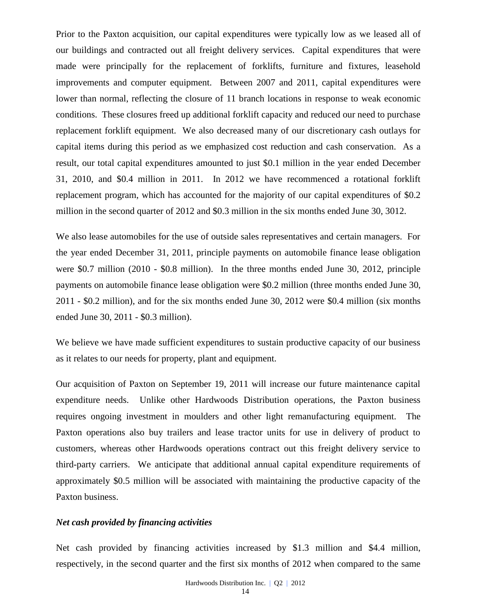Prior to the Paxton acquisition, our capital expenditures were typically low as we leased all of our buildings and contracted out all freight delivery services. Capital expenditures that were made were principally for the replacement of forklifts, furniture and fixtures, leasehold improvements and computer equipment. Between 2007 and 2011, capital expenditures were lower than normal, reflecting the closure of 11 branch locations in response to weak economic conditions. These closures freed up additional forklift capacity and reduced our need to purchase replacement forklift equipment. We also decreased many of our discretionary cash outlays for capital items during this period as we emphasized cost reduction and cash conservation. As a result, our total capital expenditures amounted to just \$0.1 million in the year ended December 31, 2010, and \$0.4 million in 2011. In 2012 we have recommenced a rotational forklift replacement program, which has accounted for the majority of our capital expenditures of \$0.2 million in the second quarter of 2012 and \$0.3 million in the six months ended June 30, 3012.

We also lease automobiles for the use of outside sales representatives and certain managers. For the year ended December 31, 2011, principle payments on automobile finance lease obligation were \$0.7 million (2010 - \$0.8 million). In the three months ended June 30, 2012, principle payments on automobile finance lease obligation were \$0.2 million (three months ended June 30, 2011 - \$0.2 million), and for the six months ended June 30, 2012 were \$0.4 million (six months ended June 30, 2011 - \$0.3 million).

We believe we have made sufficient expenditures to sustain productive capacity of our business as it relates to our needs for property, plant and equipment.

Our acquisition of Paxton on September 19, 2011 will increase our future maintenance capital expenditure needs. Unlike other Hardwoods Distribution operations, the Paxton business requires ongoing investment in moulders and other light remanufacturing equipment. The Paxton operations also buy trailers and lease tractor units for use in delivery of product to customers, whereas other Hardwoods operations contract out this freight delivery service to third-party carriers. We anticipate that additional annual capital expenditure requirements of approximately \$0.5 million will be associated with maintaining the productive capacity of the Paxton business.

### *Net cash provided by financing activities*

Net cash provided by financing activities increased by \$1.3 million and \$4.4 million, respectively, in the second quarter and the first six months of 2012 when compared to the same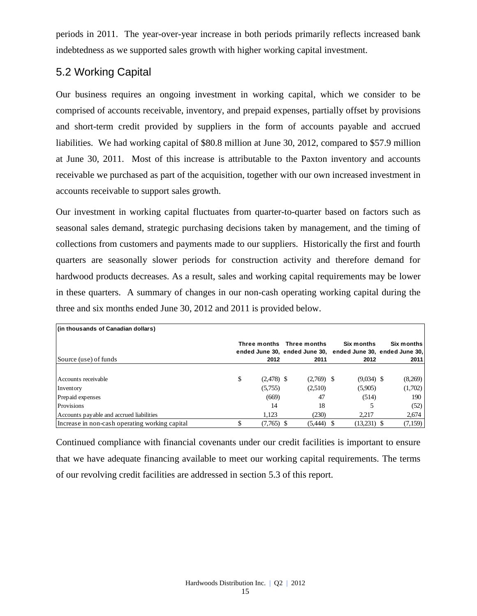periods in 2011. The year-over-year increase in both periods primarily reflects increased bank indebtedness as we supported sales growth with higher working capital investment.

# 5.2 Working Capital

Our business requires an ongoing investment in working capital, which we consider to be comprised of accounts receivable, inventory, and prepaid expenses, partially offset by provisions and short-term credit provided by suppliers in the form of accounts payable and accrued liabilities. We had working capital of \$80.8 million at June 30, 2012, compared to \$57.9 million at June 30, 2011. Most of this increase is attributable to the Paxton inventory and accounts receivable we purchased as part of the acquisition, together with our own increased investment in accounts receivable to support sales growth.

Our investment in working capital fluctuates from quarter-to-quarter based on factors such as seasonal sales demand, strategic purchasing decisions taken by management, and the timing of collections from customers and payments made to our suppliers. Historically the first and fourth quarters are seasonally slower periods for construction activity and therefore demand for hardwood products decreases. As a result, sales and working capital requirements may be lower in these quarters. A summary of changes in our non-cash operating working capital during the three and six months ended June 30, 2012 and 2011 is provided below.

| (in thousands of Canadian dollars)             |                    |                                   |                                                                                   |                    |
|------------------------------------------------|--------------------|-----------------------------------|-----------------------------------------------------------------------------------|--------------------|
| Source (use) of funds                          | 2012               | Three months Three months<br>2011 | Six months<br>ended June 30, ended June 30, ended June 30, ended June 30,<br>2012 | Six months<br>2011 |
|                                                |                    |                                   |                                                                                   |                    |
| Accounts receivable                            | \$<br>$(2,478)$ \$ | $(2,769)$ \$                      | $(9,034)$ \$                                                                      | (8,269)            |
| Inventory                                      | (5,755)            | (2,510)                           | (5,905)                                                                           | (1,702)            |
| Prepaid expenses                               | (669)              | 47                                | (514)                                                                             | 190                |
| Provisions                                     | 14                 | 18                                |                                                                                   | (52)               |
| Accounts payable and accrued liabilities       | 1.123              | (230)                             | 2,217                                                                             | 2,674              |
| Increase in non-cash operating working capital | $(7,765)$ \$       | (5,444)                           | $(13,231)$ \$                                                                     | (7,159)            |

Continued compliance with financial covenants under our credit facilities is important to ensure that we have adequate financing available to meet our working capital requirements. The terms of our revolving credit facilities are addressed in section 5.3 of this report.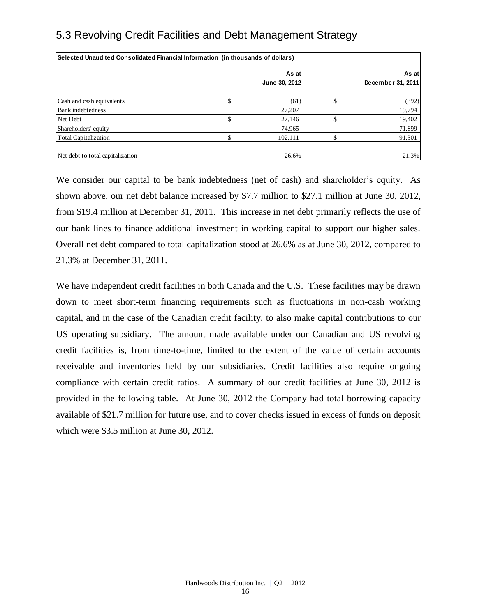# 5.3 Revolving Credit Facilities and Debt Management Strategy

| Selected Unaudited Consolidated Financial Information (in thousands of dollars) |    |               |    |                   |  |  |  |  |  |  |  |
|---------------------------------------------------------------------------------|----|---------------|----|-------------------|--|--|--|--|--|--|--|
|                                                                                 |    | As at         |    | As at             |  |  |  |  |  |  |  |
|                                                                                 |    | June 30, 2012 |    | December 31, 2011 |  |  |  |  |  |  |  |
| Cash and cash equivalents                                                       | \$ | (61)          | \$ | (392)             |  |  |  |  |  |  |  |
| <b>Bank</b> indebtedness                                                        |    | 27,207        |    | 19,794            |  |  |  |  |  |  |  |
| Net Debt                                                                        | \$ | 27,146        | ъ  | 19,402            |  |  |  |  |  |  |  |
| Shareholders' equity                                                            |    | 74,965        |    | 71,899            |  |  |  |  |  |  |  |
| Total Capitalization                                                            |    | 102,111       |    | 91,301            |  |  |  |  |  |  |  |
| Net debt to total capitalization                                                |    | 26.6%         |    | 21.3%             |  |  |  |  |  |  |  |

We consider our capital to be bank indebtedness (net of cash) and shareholder's equity. As shown above, our net debt balance increased by \$7.7 million to \$27.1 million at June 30, 2012, from \$19.4 million at December 31, 2011. This increase in net debt primarily reflects the use of our bank lines to finance additional investment in working capital to support our higher sales. Overall net debt compared to total capitalization stood at 26.6% as at June 30, 2012, compared to 21.3% at December 31, 2011.

We have independent credit facilities in both Canada and the U.S. These facilities may be drawn down to meet short-term financing requirements such as fluctuations in non-cash working capital, and in the case of the Canadian credit facility, to also make capital contributions to our US operating subsidiary. The amount made available under our Canadian and US revolving credit facilities is, from time-to-time, limited to the extent of the value of certain accounts receivable and inventories held by our subsidiaries. Credit facilities also require ongoing compliance with certain credit ratios. A summary of our credit facilities at June 30, 2012 is provided in the following table. At June 30, 2012 the Company had total borrowing capacity available of \$21.7 million for future use, and to cover checks issued in excess of funds on deposit which were \$3.5 million at June 30, 2012.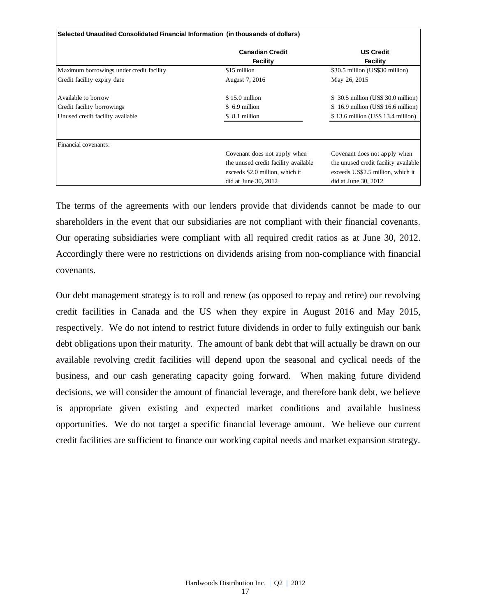|                                          | Selected Unaudited Consolidated Financial Information (in thousands of dollars) |                                      |  |  |  |  |  |  |  |  |  |  |
|------------------------------------------|---------------------------------------------------------------------------------|--------------------------------------|--|--|--|--|--|--|--|--|--|--|
|                                          | <b>Canadian Credit</b><br><b>Facility</b>                                       | <b>US Credit</b><br>Facility         |  |  |  |  |  |  |  |  |  |  |
| Maximum borrowings under credit facility | \$15 million                                                                    | \$30.5 million (US\$30 million)      |  |  |  |  |  |  |  |  |  |  |
| Credit facility expiry date              | August 7, 2016                                                                  | May 26, 2015                         |  |  |  |  |  |  |  |  |  |  |
| Available to borrow                      | $$15.0$ million                                                                 | $$30.5$ million (US\$ 30.0 million)  |  |  |  |  |  |  |  |  |  |  |
| Credit facility borrowings               | \$ 6.9 million                                                                  | $$16.9$ million (US\$ 16.6 million)  |  |  |  |  |  |  |  |  |  |  |
| Unused credit facility available         | \$ 8.1 million                                                                  | \$13.6 million (US\$13.4 million)    |  |  |  |  |  |  |  |  |  |  |
| Financial covenants:                     |                                                                                 |                                      |  |  |  |  |  |  |  |  |  |  |
|                                          | Covenant does not apply when                                                    | Covenant does not apply when         |  |  |  |  |  |  |  |  |  |  |
|                                          | the unused credit facility available                                            | the unused credit facility available |  |  |  |  |  |  |  |  |  |  |
|                                          | exceeds \$2.0 million, which it                                                 | exceeds US\$2.5 million, which it    |  |  |  |  |  |  |  |  |  |  |
|                                          | did at June $30, 2012$                                                          | did at June 30, 2012                 |  |  |  |  |  |  |  |  |  |  |

The terms of the agreements with our lenders provide that dividends cannot be made to our shareholders in the event that our subsidiaries are not compliant with their financial covenants. Our operating subsidiaries were compliant with all required credit ratios as at June 30, 2012. Accordingly there were no restrictions on dividends arising from non-compliance with financial covenants.

Our debt management strategy is to roll and renew (as opposed to repay and retire) our revolving credit facilities in Canada and the US when they expire in August 2016 and May 2015, respectively. We do not intend to restrict future dividends in order to fully extinguish our bank debt obligations upon their maturity. The amount of bank debt that will actually be drawn on our available revolving credit facilities will depend upon the seasonal and cyclical needs of the business, and our cash generating capacity going forward. When making future dividend decisions, we will consider the amount of financial leverage, and therefore bank debt, we believe is appropriate given existing and expected market conditions and available business opportunities. We do not target a specific financial leverage amount. We believe our current credit facilities are sufficient to finance our working capital needs and market expansion strategy.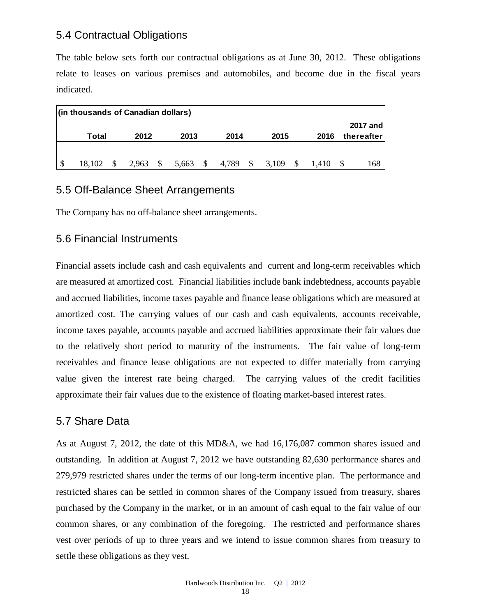## 5.4 Contractual Obligations

The table below sets forth our contractual obligations as at June 30, 2012. These obligations relate to leases on various premises and automobiles, and become due in the fiscal years indicated.

|    | (in thousands of Canadian dollars) |  |       |    |       |               |       |    |       |  |       |  |            |  |
|----|------------------------------------|--|-------|----|-------|---------------|-------|----|-------|--|-------|--|------------|--|
|    |                                    |  |       |    |       |               |       |    |       |  |       |  | 2017 and   |  |
|    | Total                              |  | 2012  |    | 2013  |               | 2014  |    | 2015  |  | 2016  |  | thereafter |  |
|    |                                    |  |       |    |       |               |       |    |       |  |       |  |            |  |
| -S | 18.102                             |  | 2.963 | \$ | 5,663 | $\mathcal{S}$ | 4.789 | \$ | 3,109 |  | 1.410 |  | 168        |  |

## 5.5 Off-Balance Sheet Arrangements

The Company has no off-balance sheet arrangements.

## 5.6 Financial Instruments

Financial assets include cash and cash equivalents and current and long-term receivables which are measured at amortized cost. Financial liabilities include bank indebtedness, accounts payable and accrued liabilities, income taxes payable and finance lease obligations which are measured at amortized cost. The carrying values of our cash and cash equivalents, accounts receivable, income taxes payable, accounts payable and accrued liabilities approximate their fair values due to the relatively short period to maturity of the instruments. The fair value of long-term receivables and finance lease obligations are not expected to differ materially from carrying value given the interest rate being charged. The carrying values of the credit facilities approximate their fair values due to the existence of floating market-based interest rates.

## 5.7 Share Data

As at August 7, 2012, the date of this MD&A, we had 16,176,087 common shares issued and outstanding. In addition at August 7, 2012 we have outstanding 82,630 performance shares and 279,979 restricted shares under the terms of our long-term incentive plan. The performance and restricted shares can be settled in common shares of the Company issued from treasury, shares purchased by the Company in the market, or in an amount of cash equal to the fair value of our common shares, or any combination of the foregoing. The restricted and performance shares vest over periods of up to three years and we intend to issue common shares from treasury to settle these obligations as they vest.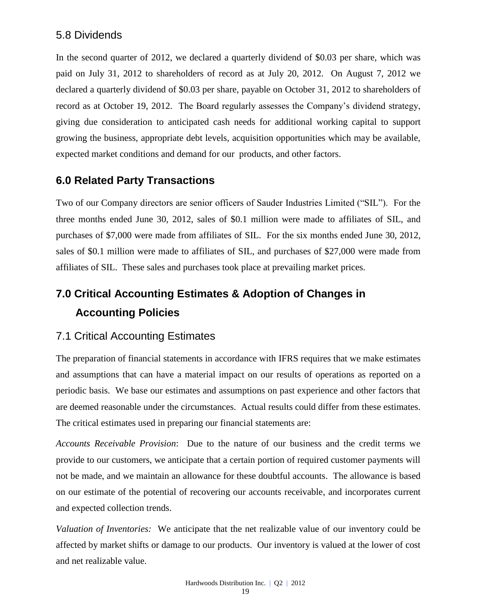## 5.8 Dividends

In the second quarter of 2012, we declared a quarterly dividend of \$0.03 per share, which was paid on July 31, 2012 to shareholders of record as at July 20, 2012. On August 7, 2012 we declared a quarterly dividend of \$0.03 per share, payable on October 31, 2012 to shareholders of record as at October 19, 2012. The Board regularly assesses the Company's dividend strategy, giving due consideration to anticipated cash needs for additional working capital to support growing the business, appropriate debt levels, acquisition opportunities which may be available, expected market conditions and demand for our products, and other factors.

# **6.0 Related Party Transactions**

Two of our Company directors are senior officers of Sauder Industries Limited ("SIL"). For the three months ended June 30, 2012, sales of \$0.1 million were made to affiliates of SIL, and purchases of \$7,000 were made from affiliates of SIL. For the six months ended June 30, 2012, sales of \$0.1 million were made to affiliates of SIL, and purchases of \$27,000 were made from affiliates of SIL. These sales and purchases took place at prevailing market prices.

# **7.0 Critical Accounting Estimates & Adoption of Changes in Accounting Policies**

## 7.1 Critical Accounting Estimates

The preparation of financial statements in accordance with IFRS requires that we make estimates and assumptions that can have a material impact on our results of operations as reported on a periodic basis. We base our estimates and assumptions on past experience and other factors that are deemed reasonable under the circumstances. Actual results could differ from these estimates. The critical estimates used in preparing our financial statements are:

*Accounts Receivable Provision*: Due to the nature of our business and the credit terms we provide to our customers, we anticipate that a certain portion of required customer payments will not be made, and we maintain an allowance for these doubtful accounts. The allowance is based on our estimate of the potential of recovering our accounts receivable, and incorporates current and expected collection trends.

*Valuation of Inventories:* We anticipate that the net realizable value of our inventory could be affected by market shifts or damage to our products. Our inventory is valued at the lower of cost and net realizable value.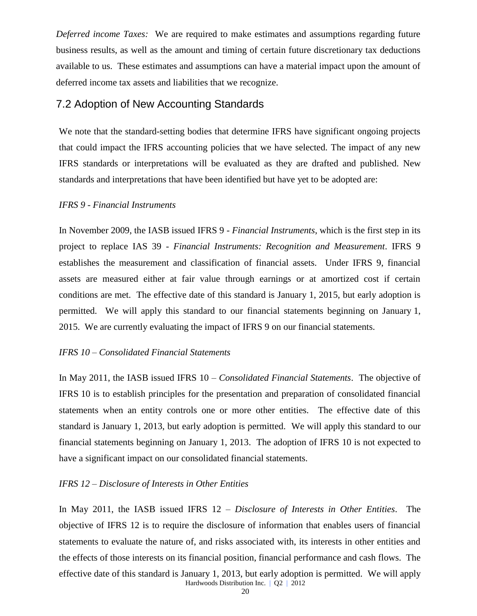*Deferred income Taxes:* We are required to make estimates and assumptions regarding future business results, as well as the amount and timing of certain future discretionary tax deductions available to us. These estimates and assumptions can have a material impact upon the amount of deferred income tax assets and liabilities that we recognize.

## 7.2 Adoption of New Accounting Standards

We note that the standard-setting bodies that determine IFRS have significant ongoing projects that could impact the IFRS accounting policies that we have selected. The impact of any new IFRS standards or interpretations will be evaluated as they are drafted and published. New standards and interpretations that have been identified but have yet to be adopted are:

#### *IFRS 9 - Financial Instruments*

In November 2009, the IASB issued IFRS 9 - *Financial Instruments*, which is the first step in its project to replace IAS 39 - *Financial Instruments: Recognition and Measurement*. IFRS 9 establishes the measurement and classification of financial assets. Under IFRS 9, financial assets are measured either at fair value through earnings or at amortized cost if certain conditions are met. The effective date of this standard is January 1, 2015, but early adoption is permitted. We will apply this standard to our financial statements beginning on January 1, 2015. We are currently evaluating the impact of IFRS 9 on our financial statements.

### *IFRS 10 – Consolidated Financial Statements*

In May 2011, the IASB issued IFRS 10 – *Consolidated Financial Statements*. The objective of IFRS 10 is to establish principles for the presentation and preparation of consolidated financial statements when an entity controls one or more other entities. The effective date of this standard is January 1, 2013, but early adoption is permitted. We will apply this standard to our financial statements beginning on January 1, 2013. The adoption of IFRS 10 is not expected to have a significant impact on our consolidated financial statements.

#### *IFRS 12 – Disclosure of Interests in Other Entities*

Hardwoods Distribution Inc. | Q2 | 2012 In May 2011, the IASB issued IFRS 12 – *Disclosure of Interests in Other Entities*. The objective of IFRS 12 is to require the disclosure of information that enables users of financial statements to evaluate the nature of, and risks associated with, its interests in other entities and the effects of those interests on its financial position, financial performance and cash flows. The effective date of this standard is January 1, 2013, but early adoption is permitted. We will apply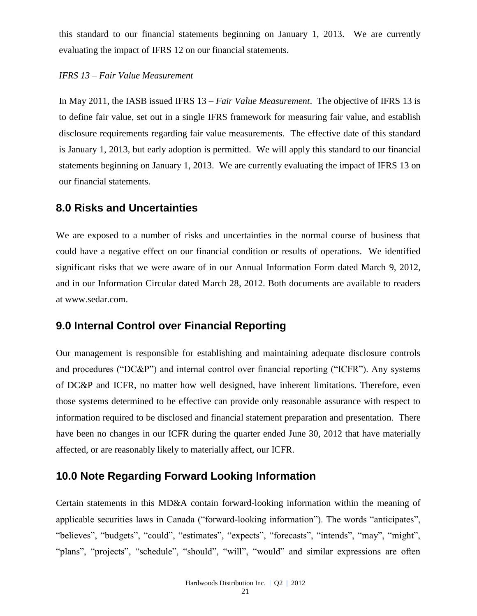this standard to our financial statements beginning on January 1, 2013. We are currently evaluating the impact of IFRS 12 on our financial statements.

### *IFRS 13 – Fair Value Measurement*

In May 2011, the IASB issued IFRS 13 – *Fair Value Measurement*. The objective of IFRS 13 is to define fair value, set out in a single IFRS framework for measuring fair value, and establish disclosure requirements regarding fair value measurements. The effective date of this standard is January 1, 2013, but early adoption is permitted. We will apply this standard to our financial statements beginning on January 1, 2013. We are currently evaluating the impact of IFRS 13 on our financial statements.

## **8.0 Risks and Uncertainties**

We are exposed to a number of risks and uncertainties in the normal course of business that could have a negative effect on our financial condition or results of operations. We identified significant risks that we were aware of in our Annual Information Form dated March 9, 2012, and in our Information Circular dated March 28, 2012. Both documents are available to readers at [www.sedar.com.](http://www.sedar.com/)

## **9.0 Internal Control over Financial Reporting**

Our management is responsible for establishing and maintaining adequate disclosure controls and procedures ("DC&P") and internal control over financial reporting ("ICFR"). Any systems of DC&P and ICFR, no matter how well designed, have inherent limitations. Therefore, even those systems determined to be effective can provide only reasonable assurance with respect to information required to be disclosed and financial statement preparation and presentation. There have been no changes in our ICFR during the quarter ended June 30, 2012 that have materially affected, or are reasonably likely to materially affect, our ICFR.

# **10.0 Note Regarding Forward Looking Information**

Certain statements in this MD&A contain forward-looking information within the meaning of applicable securities laws in Canada ("forward-looking information"). The words "anticipates", "believes", "budgets", "could", "estimates", "expects", "forecasts", "intends", "may", "might", "plans", "projects", "schedule", "should", "will", "would" and similar expressions are often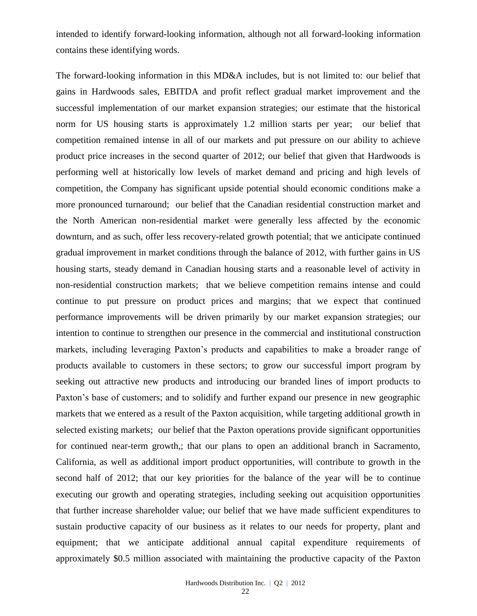intended to identify forward-looking information, although not all forward-looking information contains these identifying words.

The forward-looking information in this MD&A includes, but is not limited to: our belief that gains in Hardwoods sales, EBITDA and profit reflect gradual market improvement and the successful implementation of our market expansion strategies; our estimate that the historical norm for US housing starts is approximately 1.2 million starts per year; our belief that competition remained intense in all of our markets and put pressure on our ability to achieve product price increases in the second quarter of 2012; our belief that given that Hardwoods is performing well at historically low levels of market demand and pricing and high levels of competition, the Company has significant upside potential should economic conditions make a more pronounced turnaround; our belief that the Canadian residential construction market and the North American non-residential market were generally less affected by the economic downturn, and as such, offer less recovery-related growth potential; that we anticipate continued gradual improvement in market conditions through the balance of 2012, with further gains in US housing starts, steady demand in Canadian housing starts and a reasonable level of activity in non-residential construction markets; that we believe competition remains intense and could continue to put pressure on product prices and margins; that we expect that continued performance improvements will be driven primarily by our market expansion strategies; our intention to continue to strengthen our presence in the commercial and institutional construction markets, including leveraging Paxton's products and capabilities to make a broader range of products available to customers in these sectors; to grow our successful import program by seeking out attractive new products and introducing our branded lines of import products to Paxton's base of customers; and to solidify and further expand our presence in new geographic markets that we entered as a result of the Paxton acquisition, while targeting additional growth in selected existing markets; our belief that the Paxton operations provide significant opportunities for continued near-term growth,; that our plans to open an additional branch in Sacramento, California, as well as additional import product opportunities, will contribute to growth in the second half of 2012; that our key priorities for the balance of the year will be to continue executing our growth and operating strategies, including seeking out acquisition opportunities that further increase shareholder value; our belief that we have made sufficient expenditures to sustain productive capacity of our business as it relates to our needs for property, plant and equipment; that we anticipate additional annual capital expenditure requirements of approximately \$0.5 million associated with maintaining the productive capacity of the Paxton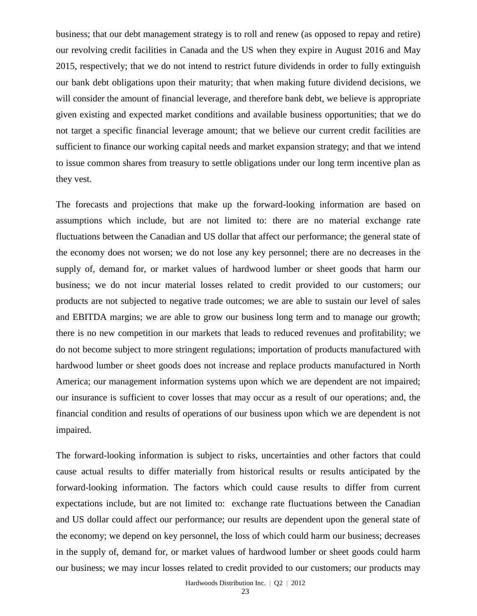business; that our debt management strategy is to roll and renew (as opposed to repay and retire) our revolving credit facilities in Canada and the US when they expire in August 2016 and May 2015, respectively; that we do not intend to restrict future dividends in order to fully extinguish our bank debt obligations upon their maturity; that when making future dividend decisions, we will consider the amount of financial leverage, and therefore bank debt, we believe is appropriate given existing and expected market conditions and available business opportunities; that we do not target a specific financial leverage amount; that we believe our current credit facilities are sufficient to finance our working capital needs and market expansion strategy; and that we intend to issue common shares from treasury to settle obligations under our long term incentive plan as they vest.

The forecasts and projections that make up the forward-looking information are based on assumptions which include, but are not limited to: there are no material exchange rate fluctuations between the Canadian and US dollar that affect our performance; the general state of the economy does not worsen; we do not lose any key personnel; there are no decreases in the supply of, demand for, or market values of hardwood lumber or sheet goods that harm our business; we do not incur material losses related to credit provided to our customers; our products are not subjected to negative trade outcomes; we are able to sustain our level of sales and EBITDA margins; we are able to grow our business long term and to manage our growth; there is no new competition in our markets that leads to reduced revenues and profitability; we do not become subject to more stringent regulations; importation of products manufactured with hardwood lumber or sheet goods does not increase and replace products manufactured in North America; our management information systems upon which we are dependent are not impaired; our insurance is sufficient to cover losses that may occur as a result of our operations; and, the financial condition and results of operations of our business upon which we are dependent is not impaired.

The forward-looking information is subject to risks, uncertainties and other factors that could cause actual results to differ materially from historical results or results anticipated by the forward-looking information. The factors which could cause results to differ from current expectations include, but are not limited to: exchange rate fluctuations between the Canadian and US dollar could affect our performance; our results are dependent upon the general state of the economy; we depend on key personnel, the loss of which could harm our business; decreases in the supply of, demand for, or market values of hardwood lumber or sheet goods could harm our business; we may incur losses related to credit provided to our customers; our products may